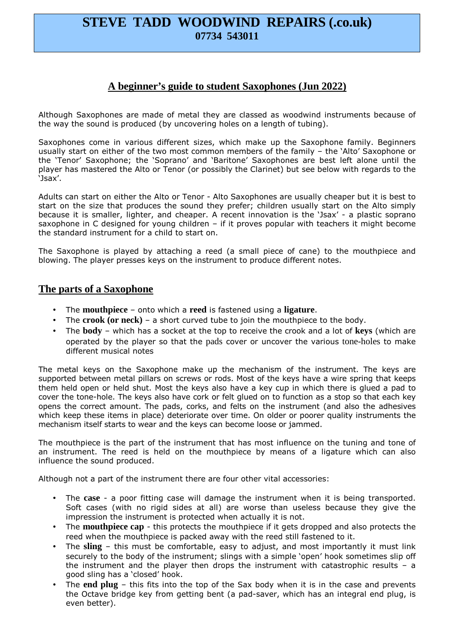# **STEVE TADD WOODWIND REPAIRS (.co.uk) 07734 543011**

# **A beginner's guide to student Saxophones (Jun 2022)**

Although Saxophones are made of metal they are classed as woodwind instruments because of the way the sound is produced (by uncovering holes on a length of tubing).

Saxophones come in various different sizes, which make up the Saxophone family. Beginners usually start on either of the two most common members of the family – the 'Alto' Saxophone or the 'Tenor' Saxophone; the 'Soprano' and 'Baritone' Saxophones are best left alone until the player has mastered the Alto or Tenor (or possibly the Clarinet) but see below with regards to the 'Jsax'.

Adults can start on either the Alto or Tenor - Alto Saxophones are usually cheaper but it is best to start on the size that produces the sound they prefer; children usually start on the Alto simply because it is smaller, lighter, and cheaper. A recent innovation is the 'Jsax' - a plastic soprano saxophone in C designed for young children – if it proves popular with teachers it might become the standard instrument for a child to start on.

The Saxophone is played by attaching a reed (a small piece of cane) to the mouthpiece and blowing. The player presses keys on the instrument to produce different notes.

### **The parts of a Saxophone**

- The **mouthpiece** onto which a **reed** is fastened using a **ligature**.
- The **crook (or neck)** a short curved tube to join the mouthpiece to the body.
- The **body** which has a socket at the top to receive the crook and a lot of **keys** (which are operated by the player so that the pads cover or uncover the various tone-holes to make different musical notes

The metal keys on the Saxophone make up the mechanism of the instrument. The keys are supported between metal pillars on screws or rods. Most of the keys have a wire spring that keeps them held open or held shut. Most the keys also have a key cup in which there is glued a pad to cover the tone-hole. The keys also have cork or felt glued on to function as a stop so that each key opens the correct amount. The pads, corks, and felts on the instrument (and also the adhesives which keep these items in place) deteriorate over time. On older or poorer quality instruments the mechanism itself starts to wear and the keys can become loose or jammed.

The mouthpiece is the part of the instrument that has most influence on the tuning and tone of an instrument. The reed is held on the mouthpiece by means of a ligature which can also influence the sound produced.

Although not a part of the instrument there are four other vital accessories:

- The **case** a poor fitting case will damage the instrument when it is being transported. Soft cases (with no rigid sides at all) are worse than useless because they give the impression the instrument is protected when actually it is not.
- The **mouthpiece cap** this protects the mouthpiece if it gets dropped and also protects the reed when the mouthpiece is packed away with the reed still fastened to it.
- The **sling** this must be comfortable, easy to adjust, and most importantly it must link securely to the body of the instrument; slings with a simple 'open' hook sometimes slip off the instrument and the player then drops the instrument with catastrophic results – a good sling has a 'closed' hook.
- The **end plug** this fits into the top of the Sax body when it is in the case and prevents the Octave bridge key from getting bent (a pad-saver, which has an integral end plug, is even better).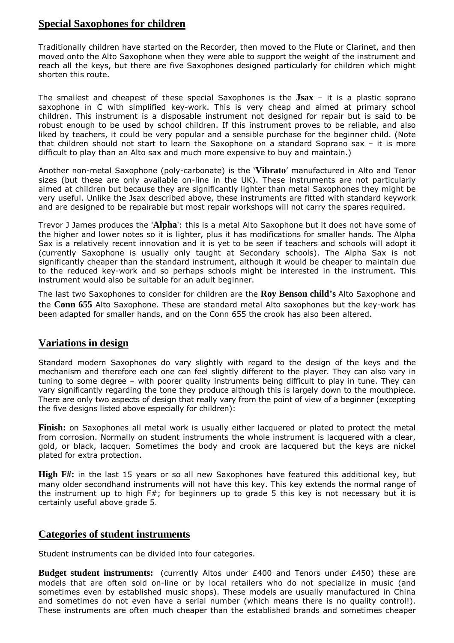# **Special Saxophones for children**

Traditionally children have started on the Recorder, then moved to the Flute or Clarinet, and then moved onto the Alto Saxophone when they were able to support the weight of the instrument and reach all the keys, but there are five Saxophones designed particularly for children which might shorten this route.

The smallest and cheapest of these special Saxophones is the **Jsax** – it is a plastic soprano saxophone in C with simplified key-work. This is very cheap and aimed at primary school children. This instrument is a disposable instrument not designed for repair but is said to be robust enough to be used by school children. If this instrument proves to be reliable, and also liked by teachers, it could be very popular and a sensible purchase for the beginner child. (Note that children should not start to learn the Saxophone on a standard Soprano sax – it is more difficult to play than an Alto sax and much more expensive to buy and maintain.)

Another non-metal Saxophone (poly-carbonate) is the '**Vibrato**' manufactured in Alto and Tenor sizes (but these are only available on-line in the UK). These instruments are not particularly aimed at children but because they are significantly lighter than metal Saxophones they might be very useful. Unlike the Jsax described above, these instruments are fitted with standard keywork and are designed to be repairable but most repair workshops will not carry the spares required.

Trevor J James produces the '**Alpha**': this is a metal Alto Saxophone but it does not have some of the higher and lower notes so it is lighter, plus it has modifications for smaller hands. The Alpha Sax is a relatively recent innovation and it is yet to be seen if teachers and schools will adopt it (currently Saxophone is usually only taught at Secondary schools). The Alpha Sax is not significantly cheaper than the standard instrument, although it would be cheaper to maintain due to the reduced key-work and so perhaps schools might be interested in the instrument. This instrument would also be suitable for an adult beginner.

The last two Saxophones to consider for children are the **Roy Benson child's** Alto Saxophone and the **Conn 655** Alto Saxophone. These are standard metal Alto saxophones but the key-work has been adapted for smaller hands, and on the Conn 655 the crook has also been altered.

## **Variations in design**

Standard modern Saxophones do vary slightly with regard to the design of the keys and the mechanism and therefore each one can feel slightly different to the player. They can also vary in tuning to some degree – with poorer quality instruments being difficult to play in tune. They can vary significantly regarding the tone they produce although this is largely down to the mouthpiece. There are only two aspects of design that really vary from the point of view of a beginner (excepting the five designs listed above especially for children):

**Finish:** on Saxophones all metal work is usually either lacquered or plated to protect the metal from corrosion. Normally on student instruments the whole instrument is lacquered with a clear, gold, or black, lacquer. Sometimes the body and crook are lacquered but the keys are nickel plated for extra protection.

**High F#:** in the last 15 years or so all new Saxophones have featured this additional key, but many older secondhand instruments will not have this key. This key extends the normal range of the instrument up to high  $F#$ ; for beginners up to grade 5 this key is not necessary but it is certainly useful above grade 5.

## **Categories of student instruments**

Student instruments can be divided into four categories.

**Budget student instruments:** (currently Altos under £400 and Tenors under £450) these are models that are often sold on-line or by local retailers who do not specialize in music (and sometimes even by established music shops). These models are usually manufactured in China and sometimes do not even have a serial number (which means there is no quality control!). These instruments are often much cheaper than the established brands and sometimes cheaper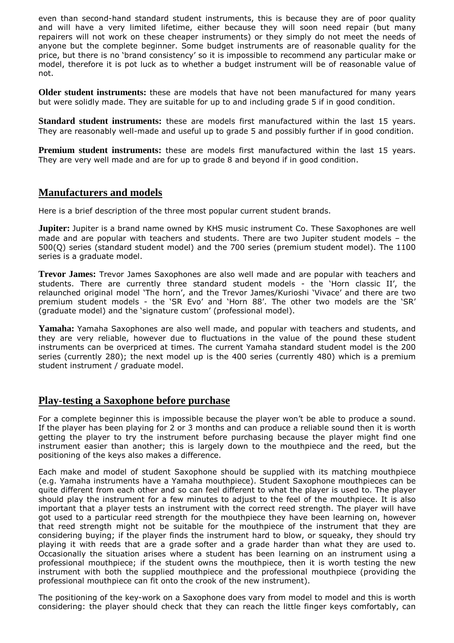even than second-hand standard student instruments, this is because they are of poor quality and will have a very limited lifetime, either because they will soon need repair (but many repairers will not work on these cheaper instruments) or they simply do not meet the needs of anyone but the complete beginner. Some budget instruments are of reasonable quality for the price, but there is no 'brand consistency' so it is impossible to recommend any particular make or model, therefore it is pot luck as to whether a budget instrument will be of reasonable value of not.

**Older student instruments:** these are models that have not been manufactured for many years but were solidly made. They are suitable for up to and including grade 5 if in good condition.

**Standard student instruments:** these are models first manufactured within the last 15 years. They are reasonably well-made and useful up to grade 5 and possibly further if in good condition.

**Premium student instruments:** these are models first manufactured within the last 15 years. They are very well made and are for up to grade 8 and beyond if in good condition.

### **Manufacturers and models**

Here is a brief description of the three most popular current student brands.

**Jupiter:** Jupiter is a brand name owned by KHS music instrument Co. These Saxophones are well made and are popular with teachers and students. There are two Jupiter student models – the 500(Q) series (standard student model) and the 700 series (premium student model). The 1100 series is a graduate model.

**Trevor James:** Trevor James Saxophones are also well made and are popular with teachers and students. There are currently three standard student models - the 'Horn classic II', the relaunched original model 'The horn', and the Trevor James/Kurioshi 'Vivace' and there are two premium student models - the 'SR Evo' and 'Horn 88'. The other two models are the 'SR' (graduate model) and the 'signature custom' (professional model).

**Yamaha:** Yamaha Saxophones are also well made, and popular with teachers and students, and they are very reliable, however due to fluctuations in the value of the pound these student instruments can be overpriced at times. The current Yamaha standard student model is the 200 series (currently 280); the next model up is the 400 series (currently 480) which is a premium student instrument / graduate model.

### **Play-testing a Saxophone before purchase**

For a complete beginner this is impossible because the player won't be able to produce a sound. If the player has been playing for 2 or 3 months and can produce a reliable sound then it is worth getting the player to try the instrument before purchasing because the player might find one instrument easier than another; this is largely down to the mouthpiece and the reed, but the positioning of the keys also makes a difference.

Each make and model of student Saxophone should be supplied with its matching mouthpiece (e.g. Yamaha instruments have a Yamaha mouthpiece). Student Saxophone mouthpieces can be quite different from each other and so can feel different to what the player is used to. The player should play the instrument for a few minutes to adjust to the feel of the mouthpiece. It is also important that a player tests an instrument with the correct reed strength. The player will have got used to a particular reed strength for the mouthpiece they have been learning on, however that reed strength might not be suitable for the mouthpiece of the instrument that they are considering buying; if the player finds the instrument hard to blow, or squeaky, they should try playing it with reeds that are a grade softer and a grade harder than what they are used to. Occasionally the situation arises where a student has been learning on an instrument using a professional mouthpiece; if the student owns the mouthpiece, then it is worth testing the new instrument with both the supplied mouthpiece and the professional mouthpiece (providing the professional mouthpiece can fit onto the crook of the new instrument).

The positioning of the key-work on a Saxophone does vary from model to model and this is worth considering: the player should check that they can reach the little finger keys comfortably, can